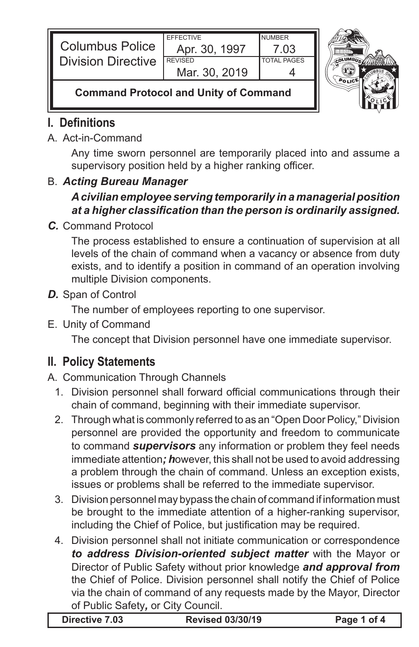| <b>Columbus Police</b>    | <b>EFFECTIVE</b><br>Apr. 30, 1997 | <b>NUMBER</b><br>' 03 |  |
|---------------------------|-----------------------------------|-----------------------|--|
| <b>Division Directive</b> | <b>REVISED</b>                    | <b>TOTAL PAGES</b>    |  |
|                           | Mar. 30, 2019                     |                       |  |
|                           |                                   |                       |  |



### **Command Protocol and Unity of Command**

# **I. Definitions**

#### A. Act-in-Command

Any time sworn personnel are temporarily placed into and assume a supervisory position held by a higher ranking officer.

#### B. *Acting Bureau Manager*

# *A civilian employee serving temporarily in a managerial position at a higher classification than the person is ordinarily assigned.*

*C.* Command Protocol

The process established to ensure a continuation of supervision at all levels of the chain of command when a vacancy or absence from duty exists, and to identify a position in command of an operation involving multiple Division components.

*D.* Span of Control

The number of employees reporting to one supervisor.

E. Unity of Command

The concept that Division personnel have one immediate supervisor.

# **II. Policy Statements**

# A. Communication Through Channels

- 1. Division personnel shall forward official communications through their chain of command, beginning with their immediate supervisor.
- 2. Through what is commonly referred to as an "Open Door Policy," Division personnel are provided the opportunity and freedom to communicate to command *supervisors* any information or problem they feel needs immediate attention*; h*owever, this shall not be used to avoid addressing a problem through the chain of command. Unless an exception exists, issues or problems shall be referred to the immediate supervisor.
- 3. Division personnel may bypass the chain of command if information must be brought to the immediate attention of a higher-ranking supervisor, including the Chief of Police, but justification may be required.
- 4. Division personnel shall not initiate communication or correspondence *to address Division-oriented subject matter* with the Mayor or Director of Public Safety without prior knowledge *and approval from* the Chief of Police. Division personnel shall notify the Chief of Police via the chain of command of any requests made by the Mayor, Director of Public Safety*,* or City Council.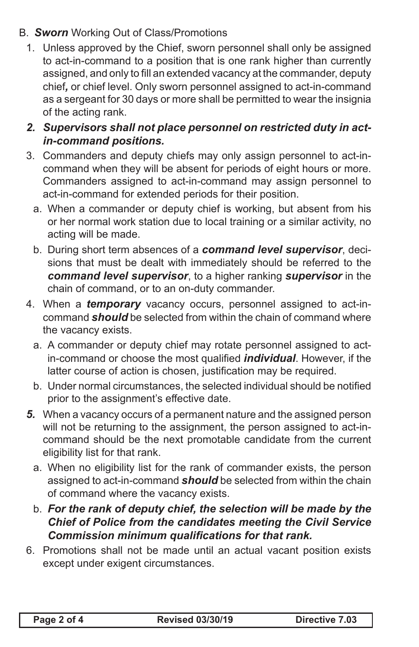#### B. *Sworn* Working Out of Class/Promotions

- 1. Unless approved by the Chief, sworn personnel shall only be assigned to act-in-command to a position that is one rank higher than currently assigned, and only to fill an extended vacancy at the commander, deputy chief*,* or chief level. Only sworn personnel assigned to act-in-command as a sergeant for 30 days or more shall be permitted to wear the insignia of the acting rank.
- *2. Supervisors shall not place personnel on restricted duty in actin-command positions.*
- 3. Commanders and deputy chiefs may only assign personnel to act-incommand when they will be absent for periods of eight hours or more. Commanders assigned to act-in-command may assign personnel to act-in-command for extended periods for their position.
	- a. When a commander or deputy chief is working, but absent from his or her normal work station due to local training or a similar activity, no acting will be made.
	- b. During short term absences of a *command level supervisor*, decisions that must be dealt with immediately should be referred to the *command level supervisor*, to a higher ranking *supervisor* in the chain of command, or to an on-duty commander.
- 4. When a *temporary* vacancy occurs, personnel assigned to act-incommand *should* be selected from within the chain of command where the vacancy exists.
	- a. A commander or deputy chief may rotate personnel assigned to actin-command or choose the most qualified *individual*. However, if the latter course of action is chosen, justification may be required.
	- b. Under normal circumstances, the selected individual should be notified prior to the assignment's effective date.
- *5.* When a vacancy occurs of a permanent nature and the assigned person will not be returning to the assignment, the person assigned to act-incommand should be the next promotable candidate from the current eligibility list for that rank.
	- a. When no eligibility list for the rank of commander exists, the person assigned to act-in-command *should* be selected from within the chain of command where the vacancy exists.
	- b. *For the rank of deputy chief, the selection will be made by the Chief of Police from the candidates meeting the Civil Service Commission minimum qualifications for that rank.*
- 6. Promotions shall not be made until an actual vacant position exists except under exigent circumstances.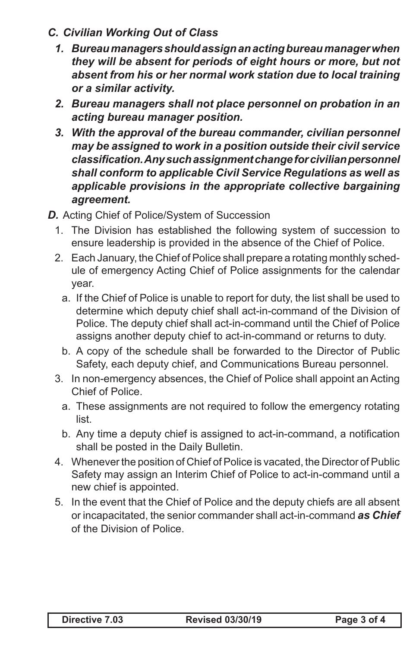- *C. Civilian Working Out of Class*
	- *1. Bureau managers should assign an acting bureau manager when they will be absent for periods of eight hours or more, but not absent from his or her normal work station due to local training or a similar activity.*
	- *2. Bureau managers shall not place personnel on probation in an acting bureau manager position.*
	- *3. With the approval of the bureau commander, civilian personnel may be assigned to work in a position outside their civil service classification. Any such assignment change for civilian personnel shall conform to applicable Civil Service Regulations as well as applicable provisions in the appropriate collective bargaining agreement.*
- **D.** Acting Chief of Police/System of Succession
	- 1. The Division has established the following system of succession to ensure leadership is provided in the absence of the Chief of Police.
	- 2. Each January, the Chief of Police shall prepare a rotating monthly schedule of emergency Acting Chief of Police assignments for the calendar year.
		- a. If the Chief of Police is unable to report for duty, the list shall be used to determine which deputy chief shall act-in-command of the Division of Police. The deputy chief shall act-in-command until the Chief of Police assigns another deputy chief to act-in-command or returns to duty.
		- b. A copy of the schedule shall be forwarded to the Director of Public Safety, each deputy chief, and Communications Bureau personnel.
	- 3. In non-emergency absences, the Chief of Police shall appoint an Acting Chief of Police.
		- a. These assignments are not required to follow the emergency rotating list.
		- b. Any time a deputy chief is assigned to act-in-command, a notification shall be posted in the Daily Bulletin.
	- 4. Whenever the position of Chief of Police is vacated, the Director of Public Safety may assign an Interim Chief of Police to act-in-command until a new chief is appointed.
	- 5. In the event that the Chief of Police and the deputy chiefs are all absent or incapacitated, the senior commander shall act-in-command *as Chief*  of the Division of Police.